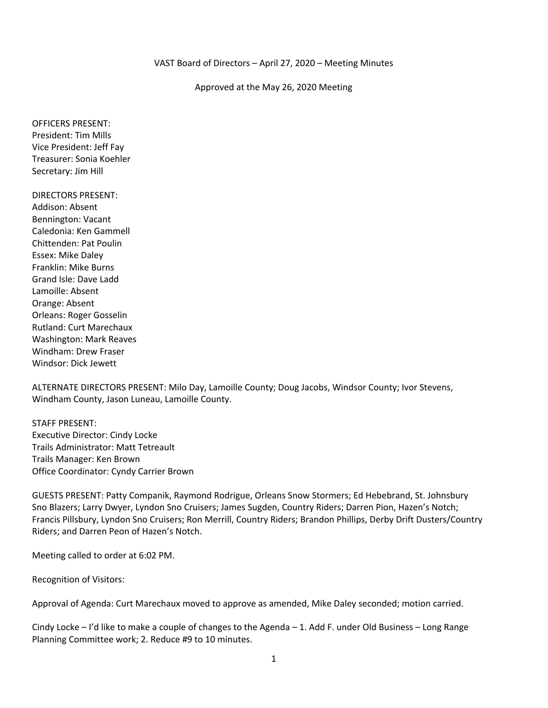#### Approved at the May 26, 2020 Meeting

OFFICERS PRESENT: President: Tim Mills Vice President: Jeff Fay Treasurer: Sonia Koehler Secretary: Jim Hill

DIRECTORS PRESENT: Addison: Absent Bennington: Vacant Caledonia: Ken Gammell Chittenden: Pat Poulin Essex: Mike Daley Franklin: Mike Burns Grand Isle: Dave Ladd Lamoille: Absent Orange: Absent Orleans: Roger Gosselin Rutland: Curt Marechaux Washington: Mark Reaves Windham: Drew Fraser Windsor: Dick Jewett

ALTERNATE DIRECTORS PRESENT: Milo Day, Lamoille County; Doug Jacobs, Windsor County; Ivor Stevens, Windham County, Jason Luneau, Lamoille County.

STAFF PRESENT: Executive Director: Cindy Locke Trails Administrator: Matt Tetreault Trails Manager: Ken Brown Office Coordinator: Cyndy Carrier Brown

GUESTS PRESENT: Patty Companik, Raymond Rodrigue, Orleans Snow Stormers; Ed Hebebrand, St. Johnsbury Sno Blazers; Larry Dwyer, Lyndon Sno Cruisers; James Sugden, Country Riders; Darren Pion, Hazen's Notch; Francis Pillsbury, Lyndon Sno Cruisers; Ron Merrill, Country Riders; Brandon Phillips, Derby Drift Dusters/Country Riders; and Darren Peon of Hazen's Notch.

Meeting called to order at 6:02 PM.

Recognition of Visitors:

Approval of Agenda: Curt Marechaux moved to approve as amended, Mike Daley seconded; motion carried.

Cindy Locke – I'd like to make a couple of changes to the Agenda – 1. Add F. under Old Business – Long Range Planning Committee work; 2. Reduce #9 to 10 minutes.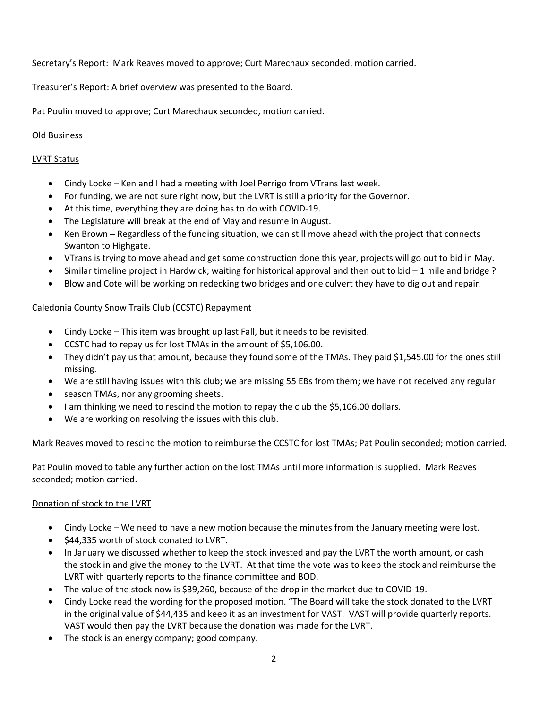Secretary's Report: Mark Reaves moved to approve; Curt Marechaux seconded, motion carried.

Treasurer's Report: A brief overview was presented to the Board.

Pat Poulin moved to approve; Curt Marechaux seconded, motion carried.

### Old Business

### LVRT Status

- Cindy Locke Ken and I had a meeting with Joel Perrigo from VTrans last week.
- For funding, we are not sure right now, but the LVRT is still a priority for the Governor.
- At this time, everything they are doing has to do with COVID-19.
- The Legislature will break at the end of May and resume in August.
- Ken Brown Regardless of the funding situation, we can still move ahead with the project that connects Swanton to Highgate.
- VTrans is trying to move ahead and get some construction done this year, projects will go out to bid in May.
- Similar timeline project in Hardwick; waiting for historical approval and then out to bid  $-1$  mile and bridge?
- Blow and Cote will be working on redecking two bridges and one culvert they have to dig out and repair.

# Caledonia County Snow Trails Club (CCSTC) Repayment

- Cindy Locke This item was brought up last Fall, but it needs to be revisited.
- CCSTC had to repay us for lost TMAs in the amount of \$5,106.00.
- They didn't pay us that amount, because they found some of the TMAs. They paid \$1,545.00 for the ones still missing.
- We are still having issues with this club; we are missing 55 EBs from them; we have not received any regular
- season TMAs, nor any grooming sheets.
- I am thinking we need to rescind the motion to repay the club the \$5,106.00 dollars.
- We are working on resolving the issues with this club.

Mark Reaves moved to rescind the motion to reimburse the CCSTC for lost TMAs; Pat Poulin seconded; motion carried.

Pat Poulin moved to table any further action on the lost TMAs until more information is supplied. Mark Reaves seconded; motion carried.

### Donation of stock to the LVRT

- Cindy Locke We need to have a new motion because the minutes from the January meeting were lost.
- \$44,335 worth of stock donated to LVRT.
- In January we discussed whether to keep the stock invested and pay the LVRT the worth amount, or cash the stock in and give the money to the LVRT. At that time the vote was to keep the stock and reimburse the LVRT with quarterly reports to the finance committee and BOD.
- The value of the stock now is \$39,260, because of the drop in the market due to COVID-19.
- Cindy Locke read the wording for the proposed motion. "The Board will take the stock donated to the LVRT in the original value of \$44,435 and keep it as an investment for VAST. VAST will provide quarterly reports. VAST would then pay the LVRT because the donation was made for the LVRT.
- The stock is an energy company; good company.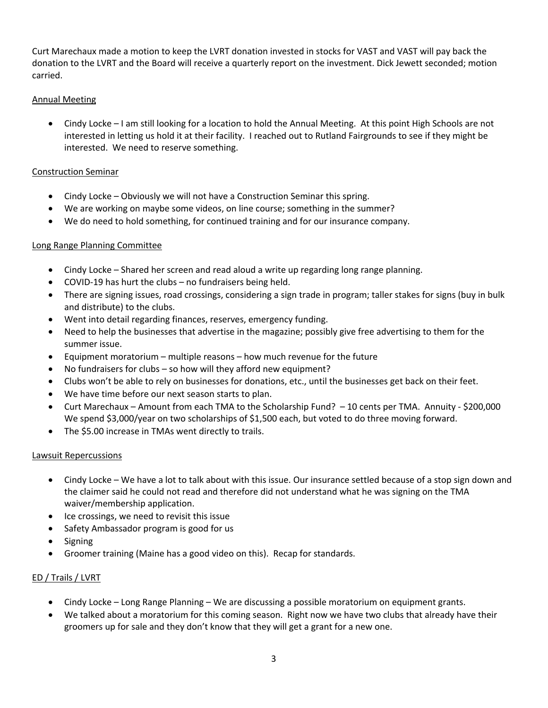Curt Marechaux made a motion to keep the LVRT donation invested in stocks for VAST and VAST will pay back the donation to the LVRT and the Board will receive a quarterly report on the investment. Dick Jewett seconded; motion carried.

# Annual Meeting

• Cindy Locke – I am still looking for a location to hold the Annual Meeting. At this point High Schools are not interested in letting us hold it at their facility. I reached out to Rutland Fairgrounds to see if they might be interested. We need to reserve something.

## Construction Seminar

- Cindy Locke Obviously we will not have a Construction Seminar this spring.
- We are working on maybe some videos, on line course; something in the summer?
- We do need to hold something, for continued training and for our insurance company.

# Long Range Planning Committee

- Cindy Locke Shared her screen and read aloud a write up regarding long range planning.
- COVID-19 has hurt the clubs no fundraisers being held.
- There are signing issues, road crossings, considering a sign trade in program; taller stakes for signs (buy in bulk and distribute) to the clubs.
- Went into detail regarding finances, reserves, emergency funding.
- Need to help the businesses that advertise in the magazine; possibly give free advertising to them for the summer issue.
- Equipment moratorium multiple reasons how much revenue for the future
- No fundraisers for clubs so how will they afford new equipment?
- Clubs won't be able to rely on businesses for donations, etc., until the businesses get back on their feet.
- We have time before our next season starts to plan.
- Curt Marechaux Amount from each TMA to the Scholarship Fund? 10 cents per TMA. Annuity \$200,000 We spend \$3,000/year on two scholarships of \$1,500 each, but voted to do three moving forward.
- The \$5.00 increase in TMAs went directly to trails.

### Lawsuit Repercussions

- Cindy Locke We have a lot to talk about with this issue. Our insurance settled because of a stop sign down and the claimer said he could not read and therefore did not understand what he was signing on the TMA waiver/membership application.
- Ice crossings, we need to revisit this issue
- Safety Ambassador program is good for us
- Signing
- Groomer training (Maine has a good video on this). Recap for standards.

### ED / Trails / LVRT

- Cindy Locke Long Range Planning We are discussing a possible moratorium on equipment grants.
- We talked about a moratorium for this coming season. Right now we have two clubs that already have their groomers up for sale and they don't know that they will get a grant for a new one.